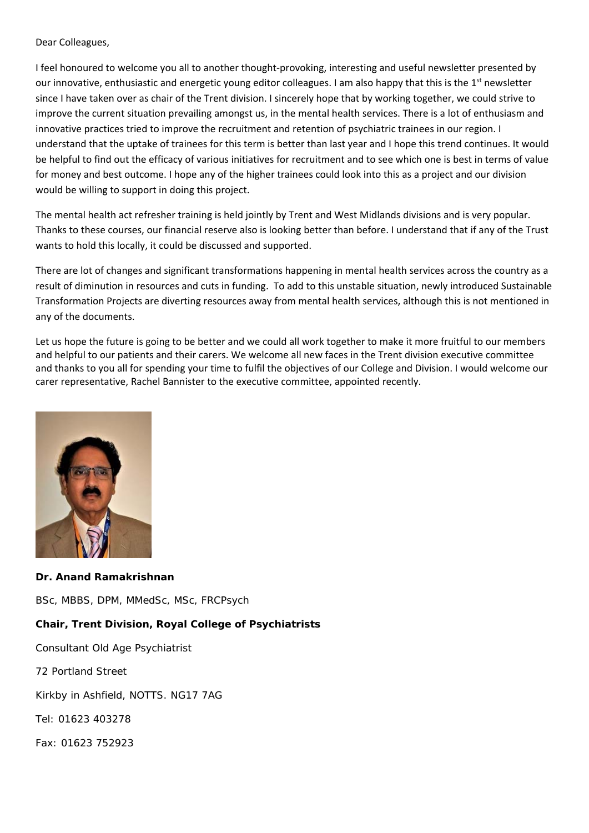#### Dear Colleagues,

I feel honoured to welcome you all to another thought‐provoking, interesting and useful newsletter presented by our innovative, enthusiastic and energetic young editor colleagues. I am also happy that this is the 1<sup>st</sup> newsletter since I have taken over as chair of the Trent division. I sincerely hope that by working together, we could strive to improve the current situation prevailing amongst us, in the mental health services. There is a lot of enthusiasm and innovative practices tried to improve the recruitment and retention of psychiatric trainees in our region. I understand that the uptake of trainees for this term is better than last year and I hope this trend continues. It would be helpful to find out the efficacy of various initiatives for recruitment and to see which one is best in terms of value for money and best outcome. I hope any of the higher trainees could look into this as a project and our division would be willing to support in doing this project.

The mental health act refresher training is held jointly by Trent and West Midlands divisions and is very popular. Thanks to these courses, our financial reserve also is looking better than before. I understand that if any of the Trust wants to hold this locally, it could be discussed and supported.

There are lot of changes and significant transformations happening in mental health services across the country as a result of diminution in resources and cuts in funding. To add to this unstable situation, newly introduced Sustainable Transformation Projects are diverting resources away from mental health services, although this is not mentioned in any of the documents.

Let us hope the future is going to be better and we could all work together to make it more fruitful to our members and helpful to our patients and their carers. We welcome all new faces in the Trent division executive committee and thanks to you all for spending your time to fulfil the objectives of our College and Division. I would welcome our carer representative, Rachel Bannister to the executive committee, appointed recently.



**Dr. Anand Ramakrishnan**  BSc, MBBS, DPM, MMedSc, MSc, FRCPsych **Chair, Trent Division, Royal College of Psychiatrists**  Consultant Old Age Psychiatrist 72 Portland Street Kirkby in Ashfield, NOTTS. NG17 7AG Tel: 01623 403278 Fax: 01623 752923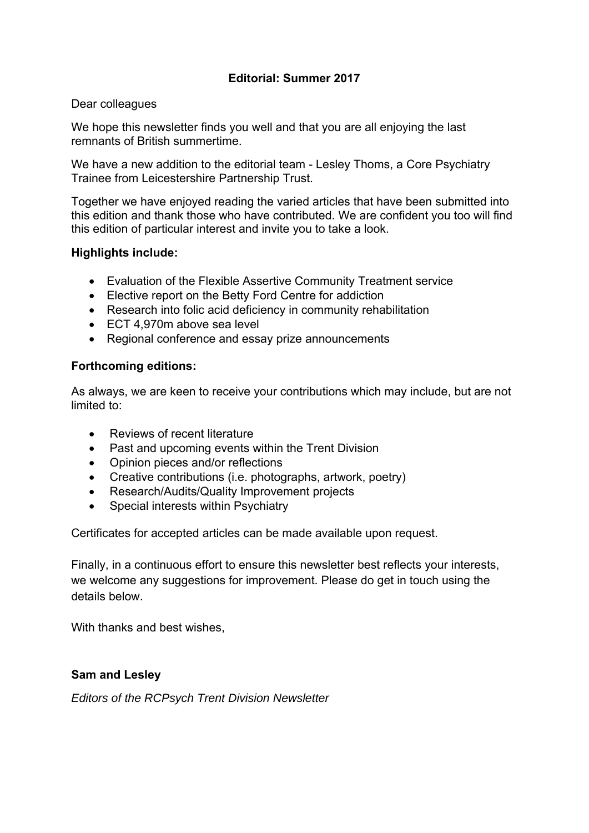## **Editorial: Summer 2017**

#### Dear colleagues

We hope this newsletter finds you well and that you are all enjoying the last remnants of British summertime.

We have a new addition to the editorial team - Lesley Thoms, a Core Psychiatry Trainee from Leicestershire Partnership Trust.

Together we have enjoyed reading the varied articles that have been submitted into this edition and thank those who have contributed. We are confident you too will find this edition of particular interest and invite you to take a look.

#### **Highlights include:**

- Evaluation of the Flexible Assertive Community Treatment service
- Elective report on the Betty Ford Centre for addiction
- Research into folic acid deficiency in community rehabilitation
- ECT 4,970m above sea level
- Regional conference and essay prize announcements

#### **Forthcoming editions:**

As always, we are keen to receive your contributions which may include, but are not limited to:

- Reviews of recent literature
- Past and upcoming events within the Trent Division
- Opinion pieces and/or reflections
- Creative contributions (i.e. photographs, artwork, poetry)
- Research/Audits/Quality Improvement projects
- Special interests within Psychiatry

Certificates for accepted articles can be made available upon request.

Finally, in a continuous effort to ensure this newsletter best reflects your interests, we welcome any suggestions for improvement. Please do get in touch using the details below.

With thanks and best wishes,

#### **Sam and Lesley**

*Editors of the RCPsych Trent Division Newsletter*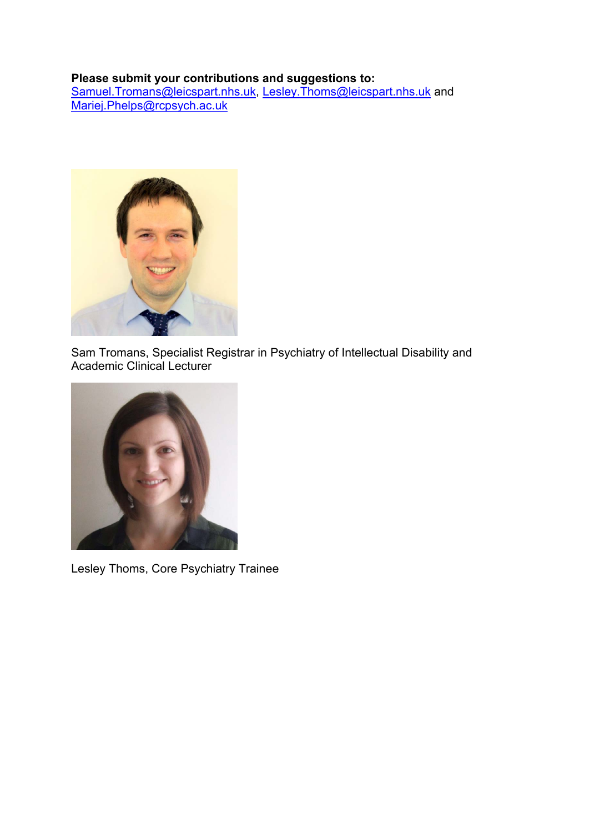#### **Please submit your contributions and suggestions to:**

Samuel.Tromans@leicspart.nhs.uk, Lesley.Thoms@leicspart.nhs.uk and Mariej.Phelps@rcpsych.ac.uk



Sam Tromans, Specialist Registrar in Psychiatry of Intellectual Disability and Academic Clinical Lecturer



Lesley Thoms, Core Psychiatry Trainee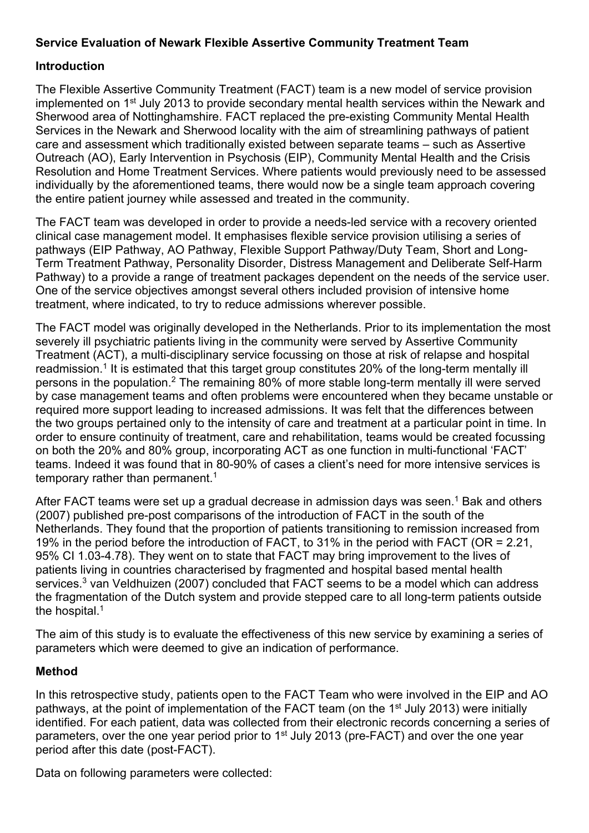## **Service Evaluation of Newark Flexible Assertive Community Treatment Team**

#### **Introduction**

The Flexible Assertive Community Treatment (FACT) team is a new model of service provision implemented on 1<sup>st</sup> July 2013 to provide secondary mental health services within the Newark and Sherwood area of Nottinghamshire. FACT replaced the pre-existing Community Mental Health Services in the Newark and Sherwood locality with the aim of streamlining pathways of patient care and assessment which traditionally existed between separate teams – such as Assertive Outreach (AO), Early Intervention in Psychosis (EIP), Community Mental Health and the Crisis Resolution and Home Treatment Services. Where patients would previously need to be assessed individually by the aforementioned teams, there would now be a single team approach covering the entire patient journey while assessed and treated in the community.

The FACT team was developed in order to provide a needs-led service with a recovery oriented clinical case management model. It emphasises flexible service provision utilising a series of pathways (EIP Pathway, AO Pathway, Flexible Support Pathway/Duty Team, Short and Long-Term Treatment Pathway, Personality Disorder, Distress Management and Deliberate Self-Harm Pathway) to a provide a range of treatment packages dependent on the needs of the service user. One of the service objectives amongst several others included provision of intensive home treatment, where indicated, to try to reduce admissions wherever possible.

The FACT model was originally developed in the Netherlands. Prior to its implementation the most severely ill psychiatric patients living in the community were served by Assertive Community Treatment (ACT), a multi-disciplinary service focussing on those at risk of relapse and hospital readmission.<sup>1</sup> It is estimated that this target group constitutes 20% of the long-term mentally ill persons in the population.2 The remaining 80% of more stable long-term mentally ill were served by case management teams and often problems were encountered when they became unstable or required more support leading to increased admissions. It was felt that the differences between the two groups pertained only to the intensity of care and treatment at a particular point in time. In order to ensure continuity of treatment, care and rehabilitation, teams would be created focussing on both the 20% and 80% group, incorporating ACT as one function in multi-functional 'FACT' teams. Indeed it was found that in 80-90% of cases a client's need for more intensive services is temporary rather than permanent.<sup>1</sup>

After FACT teams were set up a gradual decrease in admission days was seen.<sup>1</sup> Bak and others (2007) published pre-post comparisons of the introduction of FACT in the south of the Netherlands. They found that the proportion of patients transitioning to remission increased from 19% in the period before the introduction of FACT, to 31% in the period with FACT (OR = 2.21, 95% CI 1.03-4.78). They went on to state that FACT may bring improvement to the lives of patients living in countries characterised by fragmented and hospital based mental health services.<sup>3</sup> van Veldhuizen (2007) concluded that FACT seems to be a model which can address the fragmentation of the Dutch system and provide stepped care to all long-term patients outside the hospital.<sup>1</sup>

The aim of this study is to evaluate the effectiveness of this new service by examining a series of parameters which were deemed to give an indication of performance.

#### **Method**

In this retrospective study, patients open to the FACT Team who were involved in the EIP and AO pathways, at the point of implementation of the FACT team (on the 1<sup>st</sup> July 2013) were initially identified. For each patient, data was collected from their electronic records concerning a series of parameters, over the one year period prior to 1<sup>st</sup> July 2013 (pre-FACT) and over the one year period after this date (post-FACT).

Data on following parameters were collected: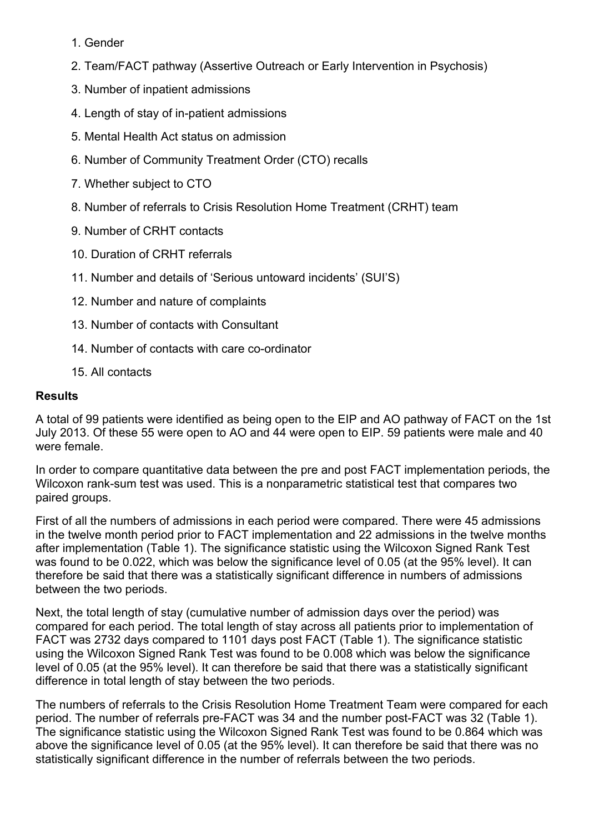- 1. Gender
- 2. Team/FACT pathway (Assertive Outreach or Early Intervention in Psychosis)
- 3. Number of inpatient admissions
- 4. Length of stay of in-patient admissions
- 5. Mental Health Act status on admission
- 6. Number of Community Treatment Order (CTO) recalls
- 7. Whether subject to CTO
- 8. Number of referrals to Crisis Resolution Home Treatment (CRHT) team
- 9. Number of CRHT contacts
- 10. Duration of CRHT referrals
- 11. Number and details of 'Serious untoward incidents' (SUI'S)
- 12. Number and nature of complaints
- 13. Number of contacts with Consultant
- 14. Number of contacts with care co-ordinator
- 15. All contacts

## **Results**

A total of 99 patients were identified as being open to the EIP and AO pathway of FACT on the 1st July 2013. Of these 55 were open to AO and 44 were open to EIP. 59 patients were male and 40 were female.

In order to compare quantitative data between the pre and post FACT implementation periods, the Wilcoxon rank-sum test was used. This is a nonparametric statistical test that compares two paired groups.

First of all the numbers of admissions in each period were compared. There were 45 admissions in the twelve month period prior to FACT implementation and 22 admissions in the twelve months after implementation (Table 1). The significance statistic using the Wilcoxon Signed Rank Test was found to be 0.022, which was below the significance level of 0.05 (at the 95% level). It can therefore be said that there was a statistically significant difference in numbers of admissions between the two periods.

Next, the total length of stay (cumulative number of admission days over the period) was compared for each period. The total length of stay across all patients prior to implementation of FACT was 2732 days compared to 1101 days post FACT (Table 1). The significance statistic using the Wilcoxon Signed Rank Test was found to be 0.008 which was below the significance level of 0.05 (at the 95% level). It can therefore be said that there was a statistically significant difference in total length of stay between the two periods.

The numbers of referrals to the Crisis Resolution Home Treatment Team were compared for each period. The number of referrals pre-FACT was 34 and the number post-FACT was 32 (Table 1). The significance statistic using the Wilcoxon Signed Rank Test was found to be 0.864 which was above the significance level of 0.05 (at the 95% level). It can therefore be said that there was no statistically significant difference in the number of referrals between the two periods.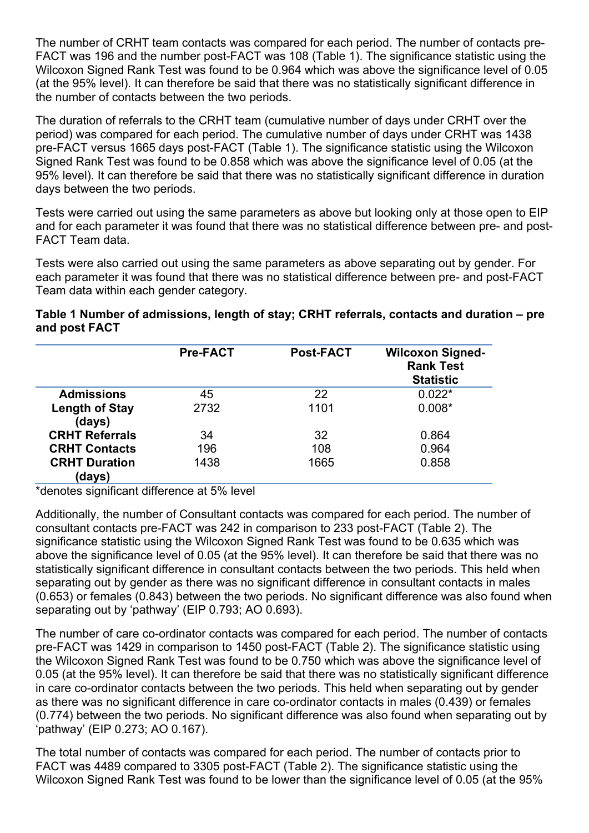The number of CRHT team contacts was compared for each period. The number of contacts pre-FACT was 196 and the number post-FACT was 108 (Table 1). The significance statistic using the Wilcoxon Signed Rank Test was found to be 0.964 which was above the significance level of 0.05 (at the 95% level). It can therefore be said that there was no statistically significant difference in the number of contacts between the two periods.

The duration of referrals to the CRHT team (cumulative number of days under CRHT over the period) was compared for each period. The cumulative number of days under CRHT was 1438 pre-FACT versus 1665 days post-FACT (Table 1). The significance statistic using the Wilcoxon Signed Rank Test was found to be 0.858 which was above the significance level of 0.05 (at the 95% level). It can therefore be said that there was no statistically significant difference in duration days between the two periods.

Tests were carried out using the same parameters as above but looking only at those open to EIP and for each parameter it was found that there was no statistical difference between pre- and post-FACT Team data.

Tests were also carried out using the same parameters as above separating out by gender. For each parameter it was found that there was no statistical difference between pre- and post-FACT Team data within each gender category.

#### **Table 1 Number of admissions, length of stay; CRHT referrals, contacts and duration – pre and post FACT**

|                                 | <b>Pre-FACT</b> | <b>Post-FACT</b> | <b>Wilcoxon Signed-</b><br><b>Rank Test</b><br><b>Statistic</b> |
|---------------------------------|-----------------|------------------|-----------------------------------------------------------------|
| <b>Admissions</b>               | 45              | 22               | $0.022*$                                                        |
| <b>Length of Stay</b><br>(days) | 2732            | 1101             | $0.008*$                                                        |
| <b>CRHT Referrals</b>           | 34              | 32               | 0.864                                                           |
| <b>CRHT Contacts</b>            | 196             | 108              | 0.964                                                           |
| <b>CRHT Duration</b><br>(days)  | 1438            | 1665             | 0.858                                                           |

\*denotes significant difference at 5% level

Additionally, the number of Consultant contacts was compared for each period. The number of consultant contacts pre-FACT was 242 in comparison to 233 post-FACT (Table 2). The significance statistic using the Wilcoxon Signed Rank Test was found to be 0.635 which was above the significance level of 0.05 (at the 95% level). It can therefore be said that there was no statistically significant difference in consultant contacts between the two periods. This held when separating out by gender as there was no significant difference in consultant contacts in males (0.653) or females (0.843) between the two periods. No significant difference was also found when separating out by 'pathway' (EIP 0.793; AO 0.693).

The number of care co-ordinator contacts was compared for each period. The number of contacts pre-FACT was 1429 in comparison to 1450 post-FACT (Table 2). The significance statistic using the Wilcoxon Signed Rank Test was found to be 0.750 which was above the significance level of 0.05 (at the 95% level). It can therefore be said that there was no statistically significant difference in care co-ordinator contacts between the two periods. This held when separating out by gender as there was no significant difference in care co-ordinator contacts in males (0.439) or females (0.774) between the two periods. No significant difference was also found when separating out by 'pathway' (EIP 0.273; AO 0.167).

The total number of contacts was compared for each period. The number of contacts prior to FACT was 4489 compared to 3305 post-FACT (Table 2). The significance statistic using the Wilcoxon Signed Rank Test was found to be lower than the significance level of 0.05 (at the 95%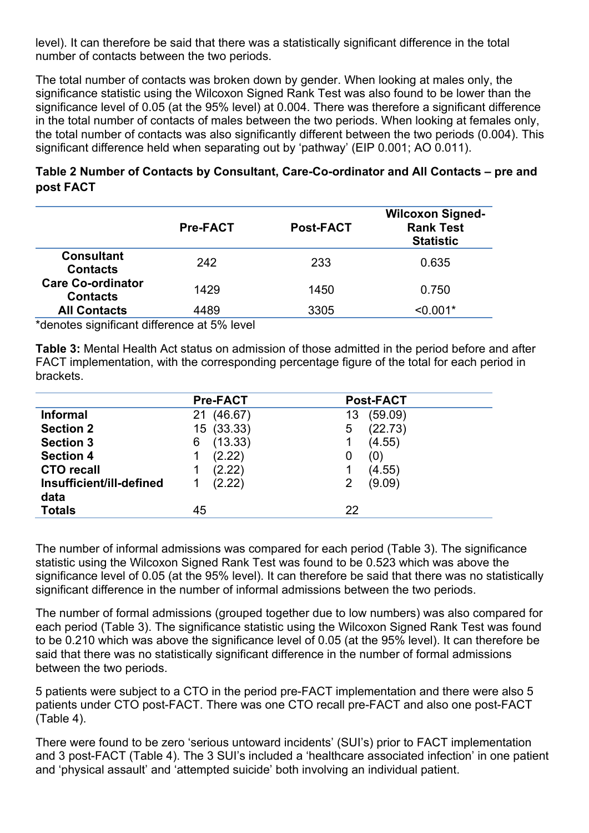level). It can therefore be said that there was a statistically significant difference in the total number of contacts between the two periods.

The total number of contacts was broken down by gender. When looking at males only, the significance statistic using the Wilcoxon Signed Rank Test was also found to be lower than the significance level of 0.05 (at the 95% level) at 0.004. There was therefore a significant difference in the total number of contacts of males between the two periods. When looking at females only, the total number of contacts was also significantly different between the two periods (0.004). This significant difference held when separating out by 'pathway' (EIP 0.001; AO 0.011).

|           | Table 2 Number of Contacts by Consultant, Care-Co-ordinator and All Contacts – pre and |
|-----------|----------------------------------------------------------------------------------------|
| post FACT |                                                                                        |

|                                             | <b>Pre-FACT</b> | <b>Post-FACT</b> | <b>Wilcoxon Signed-</b><br><b>Rank Test</b><br><b>Statistic</b> |
|---------------------------------------------|-----------------|------------------|-----------------------------------------------------------------|
| <b>Consultant</b><br><b>Contacts</b>        | 242             | 233              | 0.635                                                           |
| <b>Care Co-ordinator</b><br><b>Contacts</b> | 1429            | 1450             | 0.750                                                           |
| <b>All Contacts</b>                         | 4489            | 3305             | $< 0.001*$                                                      |

\*denotes significant difference at 5% level

**Table 3:** Mental Health Act status on admission of those admitted in the period before and after FACT implementation, with the corresponding percentage figure of the total for each period in brackets.

|                          | <b>Pre-FACT</b> | <b>Post-FACT</b> |
|--------------------------|-----------------|------------------|
| <b>Informal</b>          | (46.67)<br>21   | (59.09)<br>13    |
| <b>Section 2</b>         | (33.33)<br>15   | (22.73)<br>5     |
| <b>Section 3</b>         | (13.33)<br>6    | (4.55)           |
| <b>Section 4</b>         | (2.22)          | (0)<br>0         |
| <b>CTO recall</b>        | (2.22)          | (4.55)           |
| Insufficient/ill-defined | (2.22)          | (9.09)<br>2      |
| data                     |                 |                  |
| <b>Totals</b>            | 45              | 22               |

The number of informal admissions was compared for each period (Table 3). The significance statistic using the Wilcoxon Signed Rank Test was found to be 0.523 which was above the significance level of 0.05 (at the 95% level). It can therefore be said that there was no statistically significant difference in the number of informal admissions between the two periods.

The number of formal admissions (grouped together due to low numbers) was also compared for each period (Table 3). The significance statistic using the Wilcoxon Signed Rank Test was found to be 0.210 which was above the significance level of 0.05 (at the 95% level). It can therefore be said that there was no statistically significant difference in the number of formal admissions between the two periods.

5 patients were subject to a CTO in the period pre-FACT implementation and there were also 5 patients under CTO post-FACT. There was one CTO recall pre-FACT and also one post-FACT (Table 4).

There were found to be zero 'serious untoward incidents' (SUI's) prior to FACT implementation and 3 post-FACT (Table 4). The 3 SUI's included a 'healthcare associated infection' in one patient and 'physical assault' and 'attempted suicide' both involving an individual patient.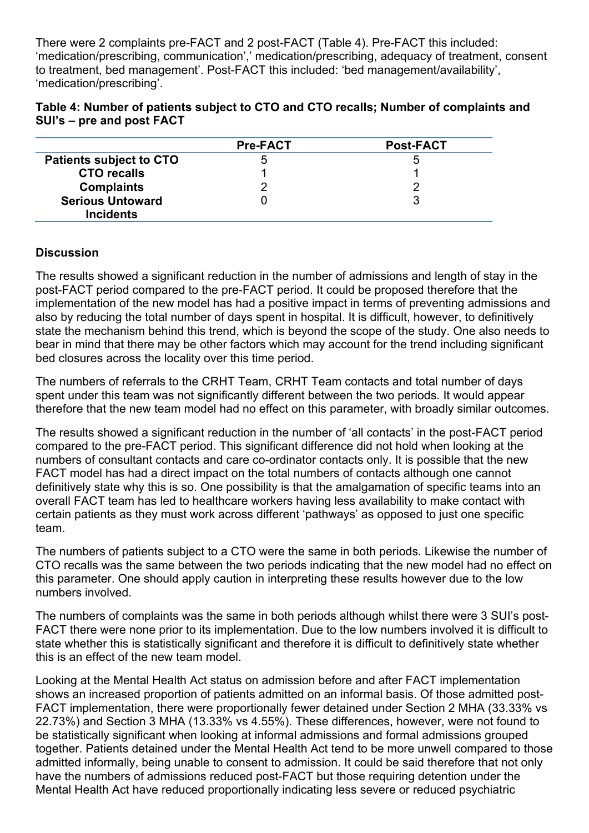There were 2 complaints pre-FACT and 2 post-FACT (Table 4). Pre-FACT this included: 'medication/prescribing, communication',' medication/prescribing, adequacy of treatment, consent to treatment, bed management'. Post-FACT this included: 'bed management/availability', 'medication/prescribing'.

| Table 4: Number of patients subject to CTO and CTO recalls; Number of complaints and |  |
|--------------------------------------------------------------------------------------|--|
| SUI's – pre and post FACT                                                            |  |

|                                | <b>Pre-FACT</b> | <b>Post-FACT</b> |
|--------------------------------|-----------------|------------------|
| <b>Patients subject to CTO</b> |                 |                  |
| <b>CTO recalls</b>             |                 |                  |
| <b>Complaints</b>              |                 |                  |
| <b>Serious Untoward</b>        |                 |                  |
| <b>Incidents</b>               |                 |                  |

#### **Discussion**

The results showed a significant reduction in the number of admissions and length of stay in the post-FACT period compared to the pre-FACT period. It could be proposed therefore that the implementation of the new model has had a positive impact in terms of preventing admissions and also by reducing the total number of days spent in hospital. It is difficult, however, to definitively state the mechanism behind this trend, which is beyond the scope of the study. One also needs to bear in mind that there may be other factors which may account for the trend including significant bed closures across the locality over this time period.

The numbers of referrals to the CRHT Team, CRHT Team contacts and total number of days spent under this team was not significantly different between the two periods. It would appear therefore that the new team model had no effect on this parameter, with broadly similar outcomes.

The results showed a significant reduction in the number of 'all contacts' in the post-FACT period compared to the pre-FACT period. This significant difference did not hold when looking at the numbers of consultant contacts and care co-ordinator contacts only. It is possible that the new FACT model has had a direct impact on the total numbers of contacts although one cannot definitively state why this is so. One possibility is that the amalgamation of specific teams into an overall FACT team has led to healthcare workers having less availability to make contact with certain patients as they must work across different 'pathways' as opposed to just one specific team.

The numbers of patients subject to a CTO were the same in both periods. Likewise the number of CTO recalls was the same between the two periods indicating that the new model had no effect on this parameter. One should apply caution in interpreting these results however due to the low numbers involved.

The numbers of complaints was the same in both periods although whilst there were 3 SUI's post-FACT there were none prior to its implementation. Due to the low numbers involved it is difficult to state whether this is statistically significant and therefore it is difficult to definitively state whether this is an effect of the new team model.

Looking at the Mental Health Act status on admission before and after FACT implementation shows an increased proportion of patients admitted on an informal basis. Of those admitted post-FACT implementation, there were proportionally fewer detained under Section 2 MHA (33.33% vs 22.73%) and Section 3 MHA (13.33% vs 4.55%). These differences, however, were not found to be statistically significant when looking at informal admissions and formal admissions grouped together. Patients detained under the Mental Health Act tend to be more unwell compared to those admitted informally, being unable to consent to admission. It could be said therefore that not only have the numbers of admissions reduced post-FACT but those requiring detention under the Mental Health Act have reduced proportionally indicating less severe or reduced psychiatric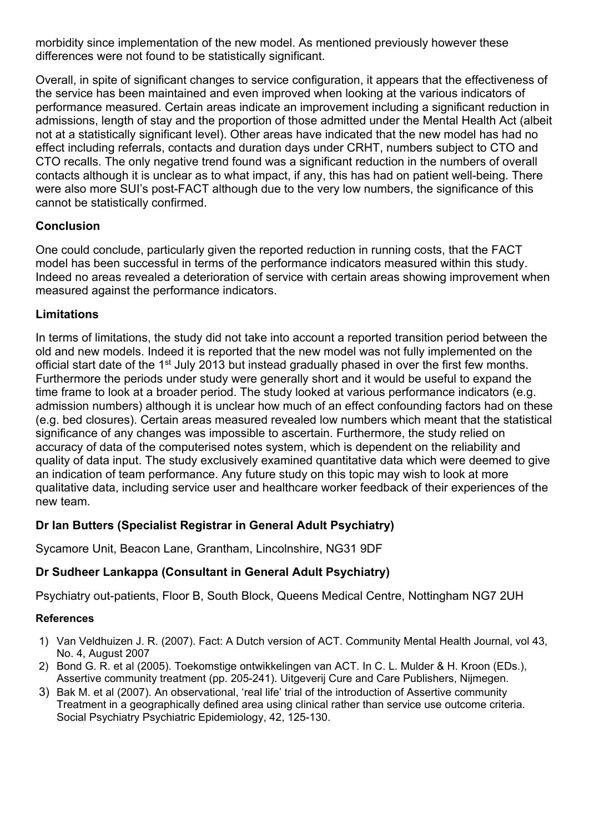morbidity since implementation of the new model. As mentioned previously however these differences were not found to be statistically significant.

Overall, in spite of significant changes to service configuration, it appears that the effectiveness of the service has been maintained and even improved when looking at the various indicators of performance measured. Certain areas indicate an improvement including a significant reduction in admissions, length of stay and the proportion of those admitted under the Mental Health Act (albeit not at a statistically significant level). Other areas have indicated that the new model has had no effect including referrals, contacts and duration days under CRHT, numbers subject to CTO and CTO recalls. The only negative trend found was a significant reduction in the numbers of overall contacts although it is unclear as to what impact, if any, this has had on patient well-being. There were also more SUI's post-FACT although due to the very low numbers, the significance of this cannot be statistically confirmed.

## **Conclusion**

One could conclude, particularly given the reported reduction in running costs, that the FACT model has been successful in terms of the performance indicators measured within this study. Indeed no areas revealed a deterioration of service with certain areas showing improvement when measured against the performance indicators.

## **Limitations**

In terms of limitations, the study did not take into account a reported transition period between the old and new models. Indeed it is reported that the new model was not fully implemented on the official start date of the 1st July 2013 but instead gradually phased in over the first few months. Furthermore the periods under study were generally short and it would be useful to expand the time frame to look at a broader period. The study looked at various performance indicators (e.g. admission numbers) although it is unclear how much of an effect confounding factors had on these (e.g. bed closures). Certain areas measured revealed low numbers which meant that the statistical significance of any changes was impossible to ascertain. Furthermore, the study relied on accuracy of data of the computerised notes system, which is dependent on the reliability and quality of data input. The study exclusively examined quantitative data which were deemed to give an indication of team performance. Any future study on this topic may wish to look at more qualitative data, including service user and healthcare worker feedback of their experiences of the new team.

# **Dr Ian Butters (Specialist Registrar in General Adult Psychiatry)**

Sycamore Unit, Beacon Lane, Grantham, Lincolnshire, NG31 9DF

## **Dr Sudheer Lankappa (Consultant in General Adult Psychiatry)**

Psychiatry out-patients, Floor B, South Block, Queens Medical Centre, Nottingham NG7 2UH

## **References**

- 1) Van Veldhuizen J. R. (2007). Fact: A Dutch version of ACT. Community Mental Health Journal, vol 43, No. 4, August 2007
- 2) Bond G. R. et al (2005). Toekomstige ontwikkelingen van ACT. In C. L. Mulder & H. Kroon (EDs.), Assertive community treatment (pp. 205-241). Uitgeverij Cure and Care Publishers, Nijmegen.
- 3) Bak M. et al (2007). An observational, 'real life' trial of the introduction of Assertive community Treatment in a geographically defined area using clinical rather than service use outcome criteria. Social Psychiatry Psychiatric Epidemiology, 42, 125-130.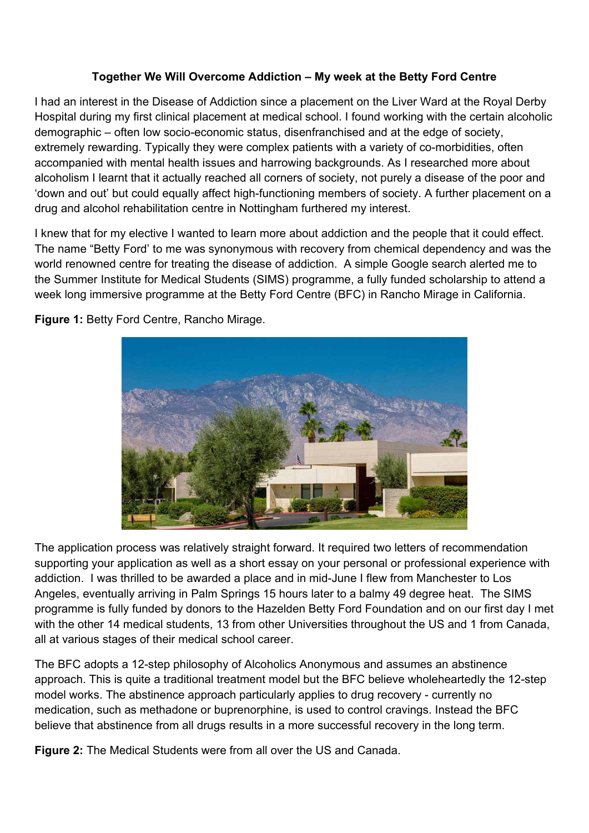## **Together We Will Overcome Addiction – My week at the Betty Ford Centre**

I had an interest in the Disease of Addiction since a placement on the Liver Ward at the Royal Derby Hospital during my first clinical placement at medical school. I found working with the certain alcoholic demographic – often low socio-economic status, disenfranchised and at the edge of society, extremely rewarding. Typically they were complex patients with a variety of co-morbidities, often accompanied with mental health issues and harrowing backgrounds. As I researched more about alcoholism I learnt that it actually reached all corners of society, not purely a disease of the poor and 'down and out' but could equally affect high-functioning members of society. A further placement on a drug and alcohol rehabilitation centre in Nottingham furthered my interest.

I knew that for my elective I wanted to learn more about addiction and the people that it could effect. The name "Betty Ford' to me was synonymous with recovery from chemical dependency and was the world renowned centre for treating the disease of addiction. A simple Google search alerted me to the Summer Institute for Medical Students (SIMS) programme, a fully funded scholarship to attend a week long immersive programme at the Betty Ford Centre (BFC) in Rancho Mirage in California.



**Figure 1:** Betty Ford Centre, Rancho Mirage.

The application process was relatively straight forward. It required two letters of recommendation supporting your application as well as a short essay on your personal or professional experience with addiction. I was thrilled to be awarded a place and in mid-June I flew from Manchester to Los Angeles, eventually arriving in Palm Springs 15 hours later to a balmy 49 degree heat. The SIMS programme is fully funded by donors to the Hazelden Betty Ford Foundation and on our first day I met with the other 14 medical students, 13 from other Universities throughout the US and 1 from Canada, all at various stages of their medical school career.

The BFC adopts a 12-step philosophy of Alcoholics Anonymous and assumes an abstinence approach. This is quite a traditional treatment model but the BFC believe wholeheartedly the 12-step model works. The abstinence approach particularly applies to drug recovery - currently no medication, such as methadone or buprenorphine, is used to control cravings. Instead the BFC believe that abstinence from all drugs results in a more successful recovery in the long term.

**Figure 2:** The Medical Students were from all over the US and Canada.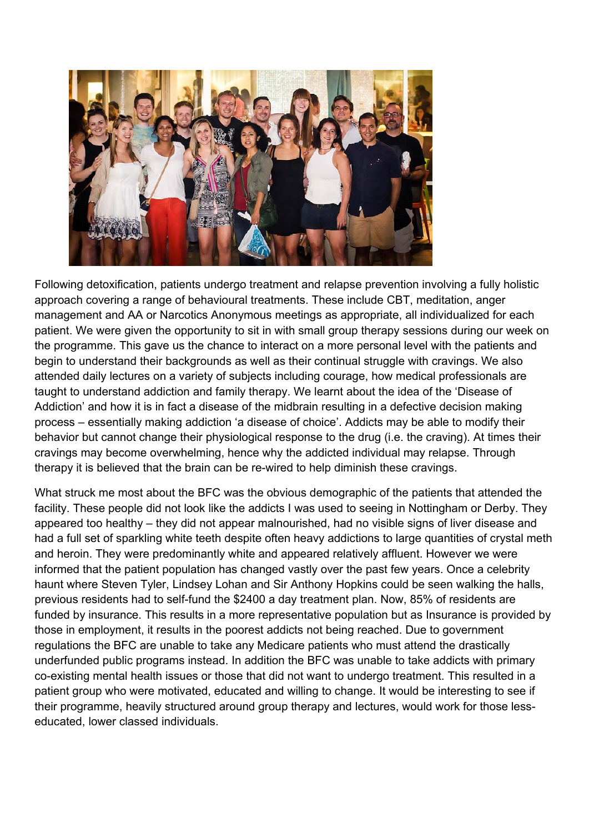

Following detoxification, patients undergo treatment and relapse prevention involving a fully holistic approach covering a range of behavioural treatments. These include CBT, meditation, anger management and AA or Narcotics Anonymous meetings as appropriate, all individualized for each patient. We were given the opportunity to sit in with small group therapy sessions during our week on the programme. This gave us the chance to interact on a more personal level with the patients and begin to understand their backgrounds as well as their continual struggle with cravings. We also attended daily lectures on a variety of subjects including courage, how medical professionals are taught to understand addiction and family therapy. We learnt about the idea of the 'Disease of Addiction' and how it is in fact a disease of the midbrain resulting in a defective decision making process – essentially making addiction 'a disease of choice'. Addicts may be able to modify their behavior but cannot change their physiological response to the drug (i.e. the craving). At times their cravings may become overwhelming, hence why the addicted individual may relapse. Through therapy it is believed that the brain can be re-wired to help diminish these cravings.

What struck me most about the BFC was the obvious demographic of the patients that attended the facility. These people did not look like the addicts I was used to seeing in Nottingham or Derby. They appeared too healthy – they did not appear malnourished, had no visible signs of liver disease and had a full set of sparkling white teeth despite often heavy addictions to large quantities of crystal meth and heroin. They were predominantly white and appeared relatively affluent. However we were informed that the patient population has changed vastly over the past few years. Once a celebrity haunt where Steven Tyler, Lindsey Lohan and Sir Anthony Hopkins could be seen walking the halls, previous residents had to self-fund the \$2400 a day treatment plan. Now, 85% of residents are funded by insurance. This results in a more representative population but as Insurance is provided by those in employment, it results in the poorest addicts not being reached. Due to government regulations the BFC are unable to take any Medicare patients who must attend the drastically underfunded public programs instead. In addition the BFC was unable to take addicts with primary co-existing mental health issues or those that did not want to undergo treatment. This resulted in a patient group who were motivated, educated and willing to change. It would be interesting to see if their programme, heavily structured around group therapy and lectures, would work for those lesseducated, lower classed individuals.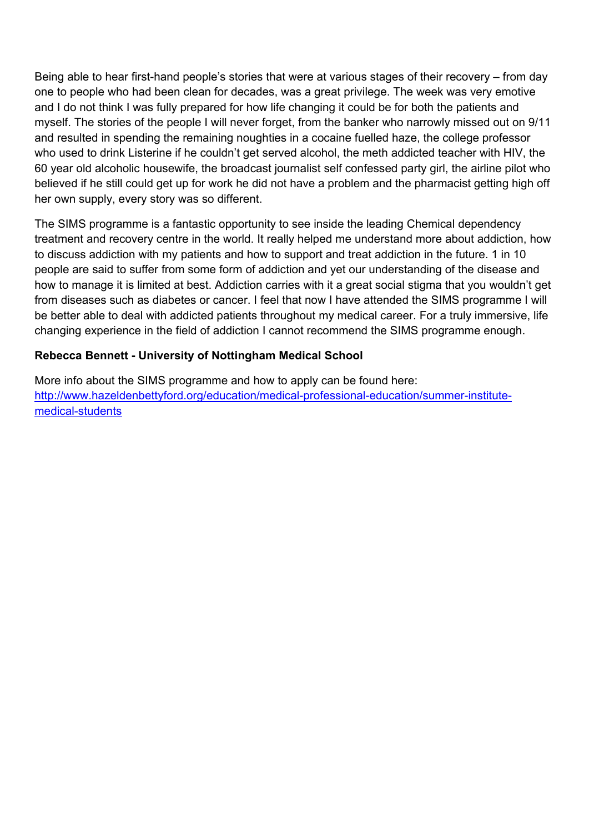Being able to hear first-hand people's stories that were at various stages of their recovery – from day one to people who had been clean for decades, was a great privilege. The week was very emotive and I do not think I was fully prepared for how life changing it could be for both the patients and myself. The stories of the people I will never forget, from the banker who narrowly missed out on 9/11 and resulted in spending the remaining noughties in a cocaine fuelled haze, the college professor who used to drink Listerine if he couldn't get served alcohol, the meth addicted teacher with HIV, the 60 year old alcoholic housewife, the broadcast journalist self confessed party girl, the airline pilot who believed if he still could get up for work he did not have a problem and the pharmacist getting high off her own supply, every story was so different.

The SIMS programme is a fantastic opportunity to see inside the leading Chemical dependency treatment and recovery centre in the world. It really helped me understand more about addiction, how to discuss addiction with my patients and how to support and treat addiction in the future. 1 in 10 people are said to suffer from some form of addiction and yet our understanding of the disease and how to manage it is limited at best. Addiction carries with it a great social stigma that you wouldn't get from diseases such as diabetes or cancer. I feel that now I have attended the SIMS programme I will be better able to deal with addicted patients throughout my medical career. For a truly immersive, life changing experience in the field of addiction I cannot recommend the SIMS programme enough.

## **Rebecca Bennett - University of Nottingham Medical School**

More info about the SIMS programme and how to apply can be found here: http://www.hazeldenbettyford.org/education/medical-professional-education/summer-institutemedical-students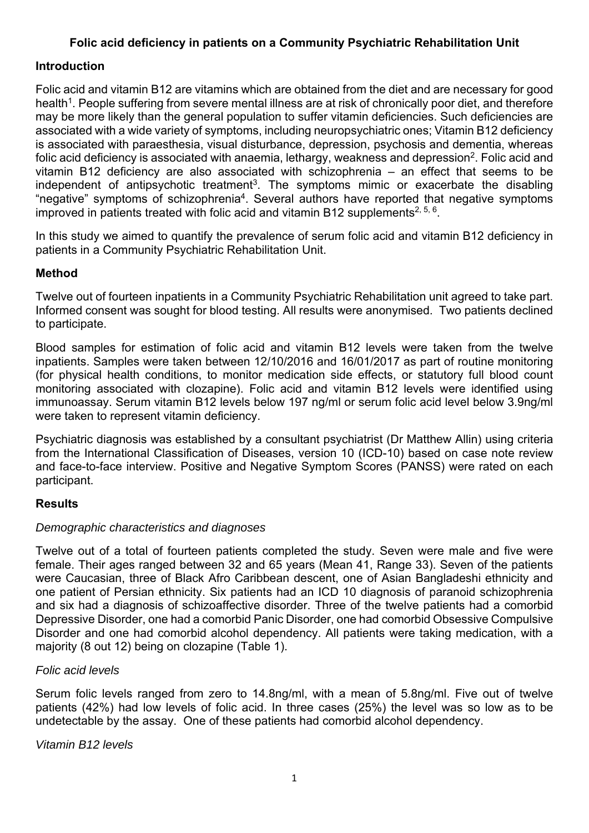## **Folic acid deficiency in patients on a Community Psychiatric Rehabilitation Unit**

#### **Introduction**

Folic acid and vitamin B12 are vitamins which are obtained from the diet and are necessary for good health<sup>1</sup>. People suffering from severe mental illness are at risk of chronically poor diet, and therefore may be more likely than the general population to suffer vitamin deficiencies. Such deficiencies are associated with a wide variety of symptoms, including neuropsychiatric ones; Vitamin B12 deficiency is associated with paraesthesia, visual disturbance, depression, psychosis and dementia, whereas folic acid deficiency is associated with anaemia, lethargy, weakness and depression<sup>2</sup>. Folic acid and vitamin B12 deficiency are also associated with schizophrenia – an effect that seems to be independent of antipsychotic treatment<sup>3</sup>. The symptoms mimic or exacerbate the disabling "negative" symptoms of schizophrenia<sup>4</sup>. Several authors have reported that negative symptoms improved in patients treated with folic acid and vitamin B12 supplements<sup>2, 5, 6</sup>.

In this study we aimed to quantify the prevalence of serum folic acid and vitamin B12 deficiency in patients in a Community Psychiatric Rehabilitation Unit.

## **Method**

Twelve out of fourteen inpatients in a Community Psychiatric Rehabilitation unit agreed to take part. Informed consent was sought for blood testing. All results were anonymised. Two patients declined to participate.

Blood samples for estimation of folic acid and vitamin B12 levels were taken from the twelve inpatients. Samples were taken between 12/10/2016 and 16/01/2017 as part of routine monitoring (for physical health conditions, to monitor medication side effects, or statutory full blood count monitoring associated with clozapine). Folic acid and vitamin B12 levels were identified using immunoassay. Serum vitamin B12 levels below 197 ng/ml or serum folic acid level below 3.9ng/ml were taken to represent vitamin deficiency.

Psychiatric diagnosis was established by a consultant psychiatrist (Dr Matthew Allin) using criteria from the International Classification of Diseases, version 10 (ICD-10) based on case note review and face-to-face interview. Positive and Negative Symptom Scores (PANSS) were rated on each participant.

## **Results**

#### *Demographic characteristics and diagnoses*

Twelve out of a total of fourteen patients completed the study. Seven were male and five were female. Their ages ranged between 32 and 65 years (Mean 41, Range 33). Seven of the patients were Caucasian, three of Black Afro Caribbean descent, one of Asian Bangladeshi ethnicity and one patient of Persian ethnicity. Six patients had an ICD 10 diagnosis of paranoid schizophrenia and six had a diagnosis of schizoaffective disorder. Three of the twelve patients had a comorbid Depressive Disorder, one had a comorbid Panic Disorder, one had comorbid Obsessive Compulsive Disorder and one had comorbid alcohol dependency. All patients were taking medication, with a majority (8 out 12) being on clozapine (Table 1).

## *Folic acid levels*

Serum folic levels ranged from zero to 14.8ng/ml, with a mean of 5.8ng/ml. Five out of twelve patients (42%) had low levels of folic acid. In three cases (25%) the level was so low as to be undetectable by the assay. One of these patients had comorbid alcohol dependency.

*Vitamin B12 levels*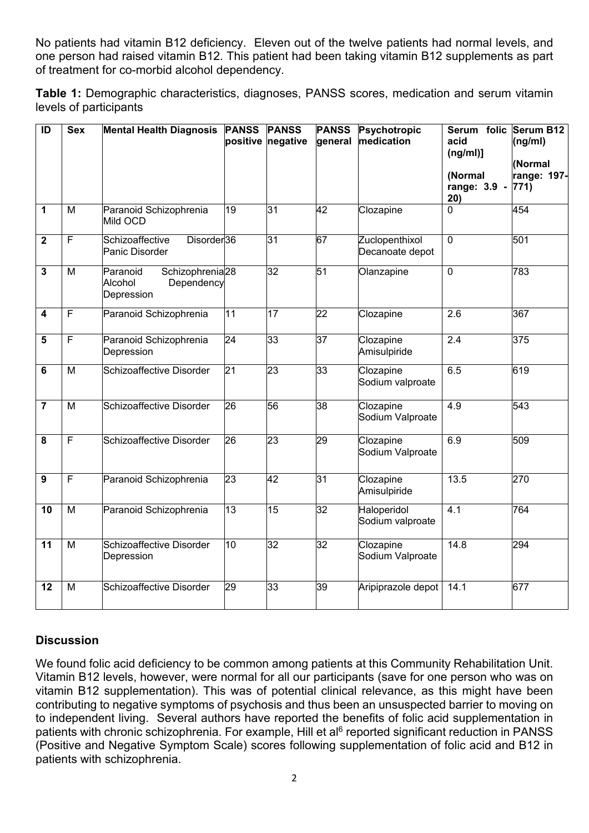No patients had vitamin B12 deficiency. Eleven out of the twelve patients had normal levels, and one person had raised vitamin B12. This patient had been taking vitamin B12 supplements as part of treatment for co-morbid alcohol dependency.

**Table 1:** Demographic characteristics, diagnoses, PANSS scores, medication and serum vitamin levels of participants

| $\overline{ID}$         | <b>Sex</b>     | <b>Mental Health Diagnosis</b>                                                 | <b>PANSS</b>    | <b>PANSS</b><br>positive negative | <b>PANSS</b><br>general | Psychotropic<br>medication        | Serum folic Serum B12<br>acid<br>(ng/ml)]<br>(Normal<br>range: 3.9 -<br>20) | (ng/ml)<br>(Normal<br>range: 197-<br>$ 771\rangle$ |
|-------------------------|----------------|--------------------------------------------------------------------------------|-----------------|-----------------------------------|-------------------------|-----------------------------------|-----------------------------------------------------------------------------|----------------------------------------------------|
| 1                       | M              | Paranoid Schizophrenia<br>Mild OCD                                             | 19              | 31                                | $\overline{42}$         | Clozapine                         | $\overline{0}$                                                              | 454                                                |
| $\mathbf 2$             | $\overline{F}$ | Schizoaffective<br>Disorder <sup>36</sup><br>Panic Disorder                    |                 | اد                                | 67                      | Zuclopenthixol<br>Decanoate depot | $\overline{0}$                                                              | 501                                                |
| $\overline{\mathbf{3}}$ | $\overline{M}$ | Schizophrenia <sub>28</sub><br>Paranoid<br>Alcohol<br>Dependency<br>Depression |                 | 32                                | 51                      | Olanzapine                        | $\overline{0}$                                                              | 783                                                |
| 4                       | F              | Paranoid Schizophrenia                                                         | 11              | 17                                | $\overline{22}$         | Clozapine                         | 2.6                                                                         | 367                                                |
| 5                       | F              | Paranoid Schizophrenia<br>Depression                                           | $\overline{24}$ | 33                                | $\overline{37}$         | Clozapine<br>Amisulpiride         | $\overline{2.4}$                                                            | 375                                                |
| 6                       | M              | Schizoaffective Disorder                                                       | 21              | 23                                | 33                      | Clozapine<br>Sodium valproate     | 6.5                                                                         | 619                                                |
| $\overline{7}$          | M              | Schizoaffective Disorder                                                       | 26              | 56                                | 38                      | Clozapine<br>Sodium Valproate     | 4.9                                                                         | 543                                                |
| $\overline{\mathbf{8}}$ | F              | <b>Schizoaffective Disorder</b>                                                | $\overline{26}$ | 23                                | 29                      | Clozapine<br>Sodium Valproate     | 6.9                                                                         | 509                                                |
| $\overline{9}$          | F              | Paranoid Schizophrenia                                                         | 23              | 42                                | $\overline{31}$         | Clozapine<br>Amisulpiride         | 13.5                                                                        | 270                                                |
| 10                      | M              | Paranoid Schizophrenia                                                         | 13              | 15                                | $\overline{32}$         | Haloperidol<br>Sodium valproate   | 4.1                                                                         | 764                                                |
| $\overline{11}$         | M              | Schizoaffective Disorder<br>Depression                                         | 10              | 32                                | $\overline{32}$         | Clozapine<br>Sodium Valproate     | 14.8                                                                        | 294                                                |
| 12                      | $\overline{M}$ | Schizoaffective Disorder                                                       | 29              | 33                                | $\overline{39}$         | Aripiprazole depot                | 14.1                                                                        | 677                                                |

# **Discussion**

We found folic acid deficiency to be common among patients at this Community Rehabilitation Unit. Vitamin B12 levels, however, were normal for all our participants (save for one person who was on vitamin B12 supplementation). This was of potential clinical relevance, as this might have been contributing to negative symptoms of psychosis and thus been an unsuspected barrier to moving on to independent living. Several authors have reported the benefits of folic acid supplementation in patients with chronic schizophrenia. For example, Hill et al<sup>6</sup> reported significant reduction in PANSS (Positive and Negative Symptom Scale) scores following supplementation of folic acid and B12 in patients with schizophrenia.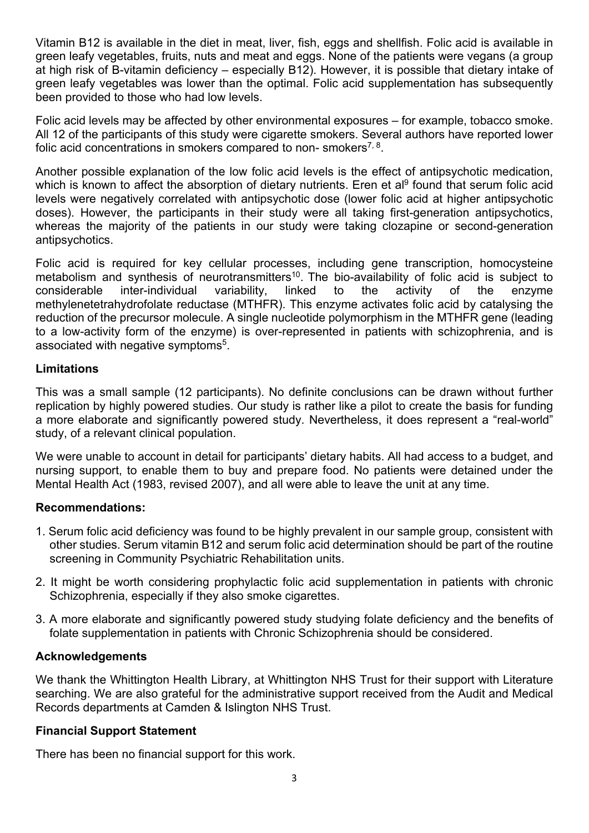Vitamin B12 is available in the diet in meat, liver, fish, eggs and shellfish. Folic acid is available in green leafy vegetables, fruits, nuts and meat and eggs. None of the patients were vegans (a group at high risk of B-vitamin deficiency – especially B12). However, it is possible that dietary intake of green leafy vegetables was lower than the optimal. Folic acid supplementation has subsequently been provided to those who had low levels.

Folic acid levels may be affected by other environmental exposures – for example, tobacco smoke. All 12 of the participants of this study were cigarette smokers. Several authors have reported lower folic acid concentrations in smokers compared to non-smokers<sup>7, 8</sup>.

Another possible explanation of the low folic acid levels is the effect of antipsychotic medication, which is known to affect the absorption of dietary nutrients. Eren et al<sup>9</sup> found that serum folic acid levels were negatively correlated with antipsychotic dose (lower folic acid at higher antipsychotic doses). However, the participants in their study were all taking first-generation antipsychotics, whereas the majority of the patients in our study were taking clozapine or second-generation antipsychotics.

Folic acid is required for key cellular processes, including gene transcription, homocysteine metabolism and synthesis of neurotransmitters<sup>10</sup>. The bio-availability of folic acid is subject to considerable inter-individual variability, linked to the activity of the enzyme methylenetetrahydrofolate reductase (MTHFR). This enzyme activates folic acid by catalysing the reduction of the precursor molecule. A single nucleotide polymorphism in the MTHFR gene (leading to a low-activity form of the enzyme) is over-represented in patients with schizophrenia, and is associated with negative symptoms<sup>5</sup>.

#### **Limitations**

This was a small sample (12 participants). No definite conclusions can be drawn without further replication by highly powered studies. Our study is rather like a pilot to create the basis for funding a more elaborate and significantly powered study. Nevertheless, it does represent a "real-world" study, of a relevant clinical population.

We were unable to account in detail for participants' dietary habits. All had access to a budget, and nursing support, to enable them to buy and prepare food. No patients were detained under the Mental Health Act (1983, revised 2007), and all were able to leave the unit at any time.

## **Recommendations:**

- 1. Serum folic acid deficiency was found to be highly prevalent in our sample group, consistent with other studies. Serum vitamin B12 and serum folic acid determination should be part of the routine screening in Community Psychiatric Rehabilitation units.
- 2. It might be worth considering prophylactic folic acid supplementation in patients with chronic Schizophrenia, especially if they also smoke cigarettes.
- 3. A more elaborate and significantly powered study studying folate deficiency and the benefits of folate supplementation in patients with Chronic Schizophrenia should be considered.

## **Acknowledgements**

We thank the Whittington Health Library, at Whittington NHS Trust for their support with Literature searching. We are also grateful for the administrative support received from the Audit and Medical Records departments at Camden & Islington NHS Trust.

#### **Financial Support Statement**

There has been no financial support for this work.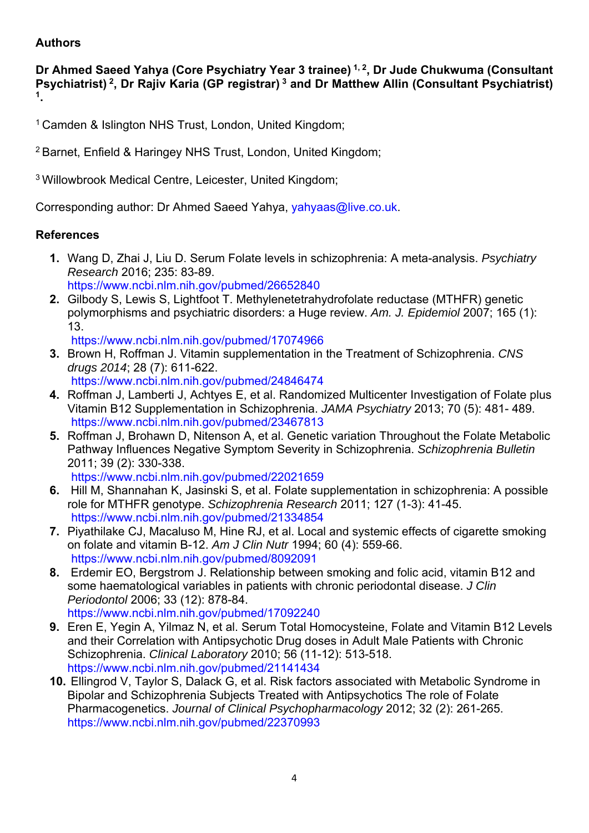## **Authors**

**Dr Ahmed Saeed Yahya (Core Psychiatry Year 3 trainee) 1, 2, Dr Jude Chukwuma (Consultant Psychiatrist) 2, Dr Rajiv Karia (GP registrar) 3 and Dr Matthew Allin (Consultant Psychiatrist) 1.** 

<sup>1</sup> Camden & Islington NHS Trust, London, United Kingdom;

2 Barnet, Enfield & Haringey NHS Trust, London, United Kingdom;

3 Willowbrook Medical Centre, Leicester, United Kingdom;

Corresponding author: Dr Ahmed Saeed Yahya, yahyaas@live.co.uk.

## **References**

- **1.** Wang D, Zhai J, Liu D. Serum Folate levels in schizophrenia: A meta-analysis. *Psychiatry Research* 2016; 235: 83-89. https://www.ncbi.nlm.nih.gov/pubmed/26652840
- **2.** Gilbody S, Lewis S, Lightfoot T. Methylenetetrahydrofolate reductase (MTHFR) genetic polymorphisms and psychiatric disorders: a Huge review. *Am. J. Epidemiol* 2007; 165 (1): 13.

https://www.ncbi.nlm.nih.gov/pubmed/17074966

- **3.** Brown H, Roffman J. Vitamin supplementation in the Treatment of Schizophrenia. *CNS drugs 2014*; 28 (7): 611-622. https://www.ncbi.nlm.nih.gov/pubmed/24846474
- **4.** Roffman J, Lamberti J, Achtyes E, et al. Randomized Multicenter Investigation of Folate plus Vitamin B12 Supplementation in Schizophrenia. *JAMA Psychiatry* 2013; 70 (5): 481- 489. https://www.ncbi.nlm.nih.gov/pubmed/23467813
- **5.** Roffman J, Brohawn D, Nitenson A, et al. Genetic variation Throughout the Folate Metabolic Pathway Influences Negative Symptom Severity in Schizophrenia. *Schizophrenia Bulletin* 2011; 39 (2): 330-338.

https://www.ncbi.nlm.nih.gov/pubmed/22021659

- **6.** Hill M, Shannahan K, Jasinski S, et al. Folate supplementation in schizophrenia: A possible role for MTHFR genotype. *Schizophrenia Research* 2011; 127 (1-3): 41-45. https://www.ncbi.nlm.nih.gov/pubmed/21334854
- **7.** Piyathilake CJ, Macaluso M, Hine RJ, et al. Local and systemic effects of cigarette smoking on folate and vitamin B-12. *Am J Clin Nutr* 1994; 60 (4): 559-66. https://www.ncbi.nlm.nih.gov/pubmed/8092091
- **8.** Erdemir EO, Bergstrom J. Relationship between smoking and folic acid, vitamin B12 and some haematological variables in patients with chronic periodontal disease. *J Clin Periodontol* 2006; 33 (12): 878-84. https://www.ncbi.nlm.nih.gov/pubmed/17092240
- **9.** Eren E, Yegin A, Yilmaz N, et al. Serum Total Homocysteine, Folate and Vitamin B12 Levels and their Correlation with Antipsychotic Drug doses in Adult Male Patients with Chronic Schizophrenia. *Clinical Laboratory* 2010; 56 (11-12): 513-518. https://www.ncbi.nlm.nih.gov/pubmed/21141434
- **10.** Ellingrod V, Taylor S, Dalack G, et al. Risk factors associated with Metabolic Syndrome in Bipolar and Schizophrenia Subjects Treated with Antipsychotics The role of Folate Pharmacogenetics. *Journal of Clinical Psychopharmacology* 2012; 32 (2): 261-265. https://www.ncbi.nlm.nih.gov/pubmed/22370993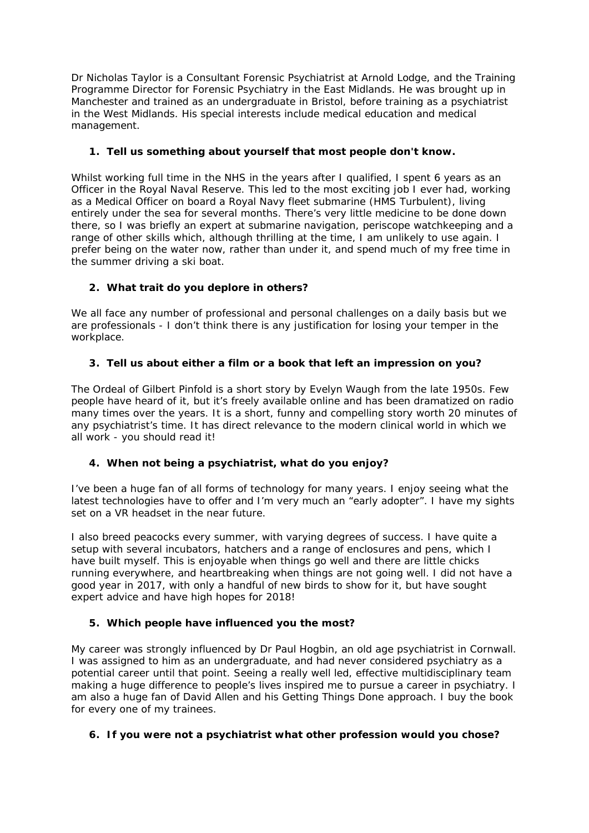Dr Nicholas Taylor is a Consultant Forensic Psychiatrist at Arnold Lodge, and the Training Programme Director for Forensic Psychiatry in the East Midlands. He was brought up in Manchester and trained as an undergraduate in Bristol, before training as a psychiatrist in the West Midlands. His special interests include medical education and medical management.

#### **1. Tell us something about yourself that most people don't know.**

Whilst working full time in the NHS in the years after I qualified, I spent 6 years as an Officer in the Royal Naval Reserve. This led to the most exciting job I ever had, working as a Medical Officer on board a Royal Navy fleet submarine (HMS Turbulent), living entirely under the sea for several months. There's very little medicine to be done down there, so I was briefly an expert at submarine navigation, periscope watchkeeping and a range of other skills which, although thrilling at the time, I am unlikely to use again. I prefer being on the water now, rather than under it, and spend much of my free time in the summer driving a ski boat.

#### **2. What trait do you deplore in others?**

We all face any number of professional and personal challenges on a daily basis but we are professionals - I don't think there is any justification for losing your temper in the workplace.

#### **3. Tell us about either a film or a book that left an impression on you?**

*The Ordeal of Gilbert Pinfold* is a short story by Evelyn Waugh from the late 1950s. Few people have heard of it, but it's freely available online and has been dramatized on radio many times over the years. It is a short, funny and compelling story worth 20 minutes of any psychiatrist's time. It has direct relevance to the modern clinical world in which we all work - you should read it!

#### **4. When not being a psychiatrist, what do you enjoy?**

I've been a huge fan of all forms of technology for many years. I enjoy seeing what the latest technologies have to offer and I'm very much an "early adopter". I have my sights set on a VR headset in the near future.

I also breed peacocks every summer, with varying degrees of success. I have quite a setup with several incubators, hatchers and a range of enclosures and pens, which I have built myself. This is enjoyable when things go well and there are little chicks running everywhere, and heartbreaking when things are not going well. I did not have a good year in 2017, with only a handful of new birds to show for it, but have sought expert advice and have high hopes for 2018!

#### **5. Which people have influenced you the most?**

My career was strongly influenced by Dr Paul Hogbin, an old age psychiatrist in Cornwall. I was assigned to him as an undergraduate, and had never considered psychiatry as a potential career until that point. Seeing a really well led, effective multidisciplinary team making a huge difference to people's lives inspired me to pursue a career in psychiatry. I am also a huge fan of David Allen and his *Getting Things Done* approach. I buy the book for every one of my trainees.

#### **6. If you were not a psychiatrist what other profession would you chose?**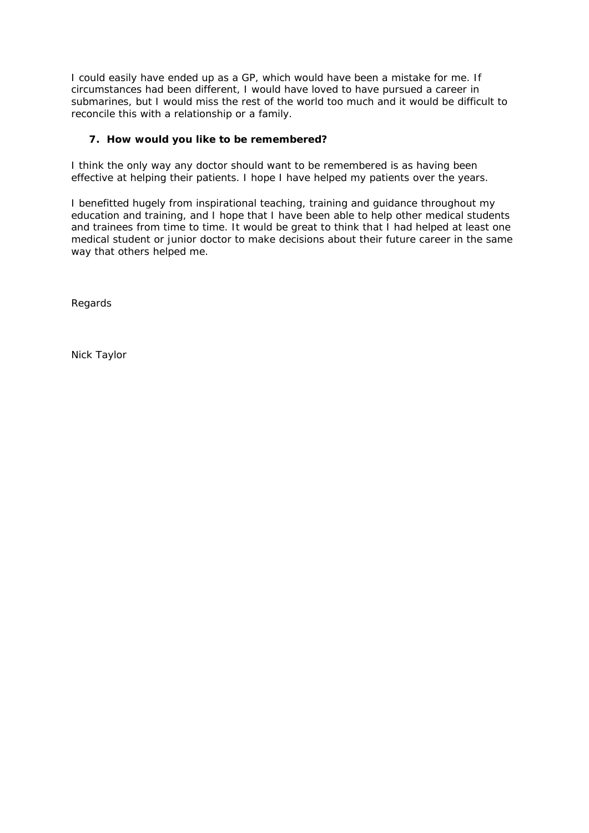I could easily have ended up as a GP, which would have been a mistake for me. If circumstances had been different, I would have loved to have pursued a career in submarines, but I would miss the rest of the world too much and it would be difficult to reconcile this with a relationship or a family.

#### **7. How would you like to be remembered?**

I think the only way any doctor should want to be remembered is as having been effective at helping their patients. I hope I have helped my patients over the years.

I benefitted hugely from inspirational teaching, training and guidance throughout my education and training, and I hope that I have been able to help other medical students and trainees from time to time. It would be great to think that I had helped at least one medical student or junior doctor to make decisions about their future career in the same way that others helped me.

Regards

Nick Taylor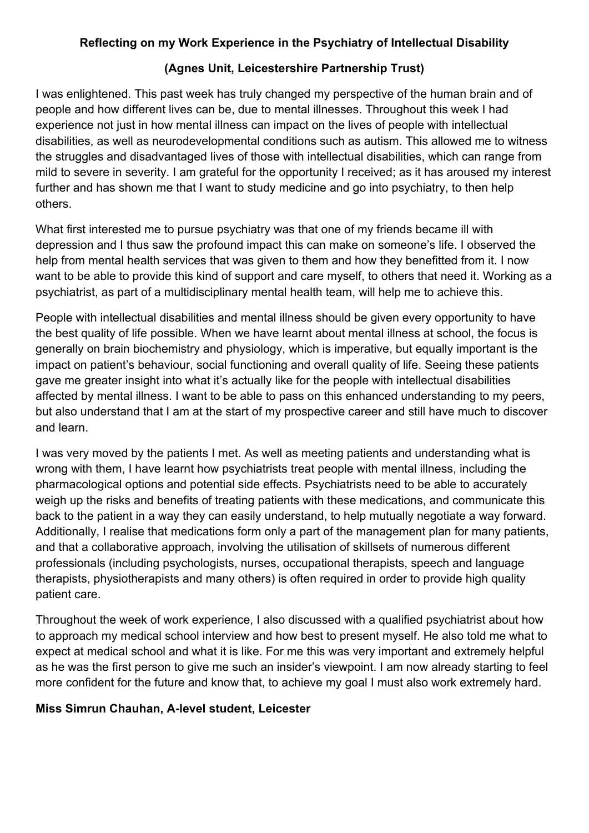## **Reflecting on my Work Experience in the Psychiatry of Intellectual Disability**

# **(Agnes Unit, Leicestershire Partnership Trust)**

I was enlightened. This past week has truly changed my perspective of the human brain and of people and how different lives can be, due to mental illnesses. Throughout this week I had experience not just in how mental illness can impact on the lives of people with intellectual disabilities, as well as neurodevelopmental conditions such as autism. This allowed me to witness the struggles and disadvantaged lives of those with intellectual disabilities, which can range from mild to severe in severity. I am grateful for the opportunity I received; as it has aroused my interest further and has shown me that I want to study medicine and go into psychiatry, to then help others.

What first interested me to pursue psychiatry was that one of my friends became ill with depression and I thus saw the profound impact this can make on someone's life. I observed the help from mental health services that was given to them and how they benefitted from it. I now want to be able to provide this kind of support and care myself, to others that need it. Working as a psychiatrist, as part of a multidisciplinary mental health team, will help me to achieve this.

People with intellectual disabilities and mental illness should be given every opportunity to have the best quality of life possible. When we have learnt about mental illness at school, the focus is generally on brain biochemistry and physiology, which is imperative, but equally important is the impact on patient's behaviour, social functioning and overall quality of life. Seeing these patients gave me greater insight into what it's actually like for the people with intellectual disabilities affected by mental illness. I want to be able to pass on this enhanced understanding to my peers, but also understand that I am at the start of my prospective career and still have much to discover and learn.

I was very moved by the patients I met. As well as meeting patients and understanding what is wrong with them, I have learnt how psychiatrists treat people with mental illness, including the pharmacological options and potential side effects. Psychiatrists need to be able to accurately weigh up the risks and benefits of treating patients with these medications, and communicate this back to the patient in a way they can easily understand, to help mutually negotiate a way forward. Additionally, I realise that medications form only a part of the management plan for many patients, and that a collaborative approach, involving the utilisation of skillsets of numerous different professionals (including psychologists, nurses, occupational therapists, speech and language therapists, physiotherapists and many others) is often required in order to provide high quality patient care.

Throughout the week of work experience, I also discussed with a qualified psychiatrist about how to approach my medical school interview and how best to present myself. He also told me what to expect at medical school and what it is like. For me this was very important and extremely helpful as he was the first person to give me such an insider's viewpoint. I am now already starting to feel more confident for the future and know that, to achieve my goal I must also work extremely hard.

## **Miss Simrun Chauhan, A-level student, Leicester**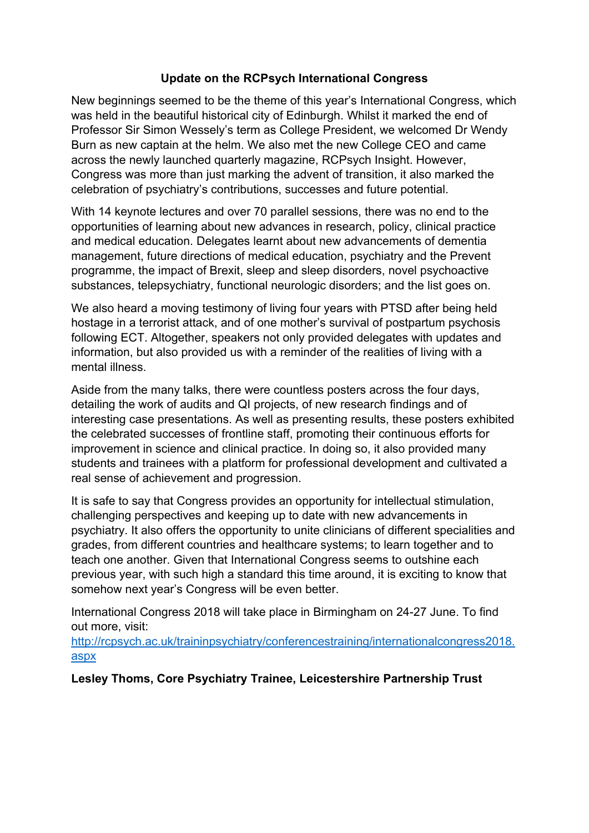## **Update on the RCPsych International Congress**

New beginnings seemed to be the theme of this year's International Congress, which was held in the beautiful historical city of Edinburgh. Whilst it marked the end of Professor Sir Simon Wessely's term as College President, we welcomed Dr Wendy Burn as new captain at the helm. We also met the new College CEO and came across the newly launched quarterly magazine, RCPsych Insight. However, Congress was more than just marking the advent of transition, it also marked the celebration of psychiatry's contributions, successes and future potential.

With 14 keynote lectures and over 70 parallel sessions, there was no end to the opportunities of learning about new advances in research, policy, clinical practice and medical education. Delegates learnt about new advancements of dementia management, future directions of medical education, psychiatry and the Prevent programme, the impact of Brexit, sleep and sleep disorders, novel psychoactive substances, telepsychiatry, functional neurologic disorders; and the list goes on.

We also heard a moving testimony of living four years with PTSD after being held hostage in a terrorist attack, and of one mother's survival of postpartum psychosis following ECT. Altogether, speakers not only provided delegates with updates and information, but also provided us with a reminder of the realities of living with a mental illness.

Aside from the many talks, there were countless posters across the four days, detailing the work of audits and QI projects, of new research findings and of interesting case presentations. As well as presenting results, these posters exhibited the celebrated successes of frontline staff, promoting their continuous efforts for improvement in science and clinical practice. In doing so, it also provided many students and trainees with a platform for professional development and cultivated a real sense of achievement and progression.

It is safe to say that Congress provides an opportunity for intellectual stimulation, challenging perspectives and keeping up to date with new advancements in psychiatry. It also offers the opportunity to unite clinicians of different specialities and grades, from different countries and healthcare systems; to learn together and to teach one another. Given that International Congress seems to outshine each previous year, with such high a standard this time around, it is exciting to know that somehow next year's Congress will be even better.

International Congress 2018 will take place in Birmingham on 24-27 June. To find out more, visit:

http://rcpsych.ac.uk/traininpsychiatry/conferencestraining/internationalcongress2018. aspx

**Lesley Thoms, Core Psychiatry Trainee, Leicestershire Partnership Trust**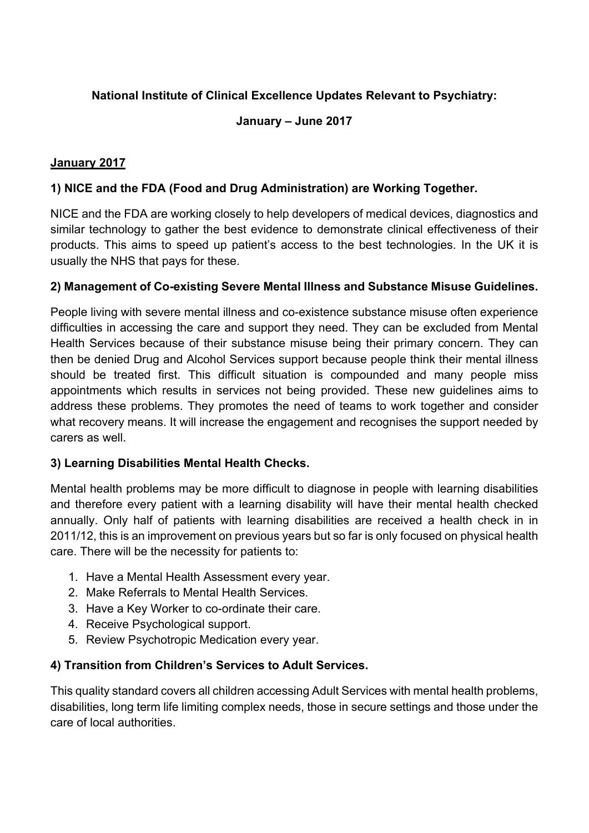# **National Institute of Clinical Excellence Updates Relevant to Psychiatry:**

## **January – June 2017**

## **January 2017**

## **1) NICE and the FDA (Food and Drug Administration) are Working Together.**

NICE and the FDA are working closely to help developers of medical devices, diagnostics and similar technology to gather the best evidence to demonstrate clinical effectiveness of their products. This aims to speed up patient's access to the best technologies. In the UK it is usually the NHS that pays for these.

## **2) Management of Co-existing Severe Mental Illness and Substance Misuse Guidelines.**

People living with severe mental illness and co-existence substance misuse often experience difficulties in accessing the care and support they need. They can be excluded from Mental Health Services because of their substance misuse being their primary concern. They can then be denied Drug and Alcohol Services support because people think their mental illness should be treated first. This difficult situation is compounded and many people miss appointments which results in services not being provided. These new guidelines aims to address these problems. They promotes the need of teams to work together and consider what recovery means. It will increase the engagement and recognises the support needed by carers as well.

## **3) Learning Disabilities Mental Health Checks.**

Mental health problems may be more difficult to diagnose in people with learning disabilities and therefore every patient with a learning disability will have their mental health checked annually. Only half of patients with learning disabilities are received a health check in in 2011/12, this is an improvement on previous years but so far is only focused on physical health care. There will be the necessity for patients to:

- 1. Have a Mental Health Assessment every year.
- 2. Make Referrals to Mental Health Services.
- 3. Have a Key Worker to co-ordinate their care.
- 4. Receive Psychological support.
- 5. Review Psychotropic Medication every year.

# **4) Transition from Children's Services to Adult Services.**

This quality standard covers all children accessing Adult Services with mental health problems, disabilities, long term life limiting complex needs, those in secure settings and those under the care of local authorities.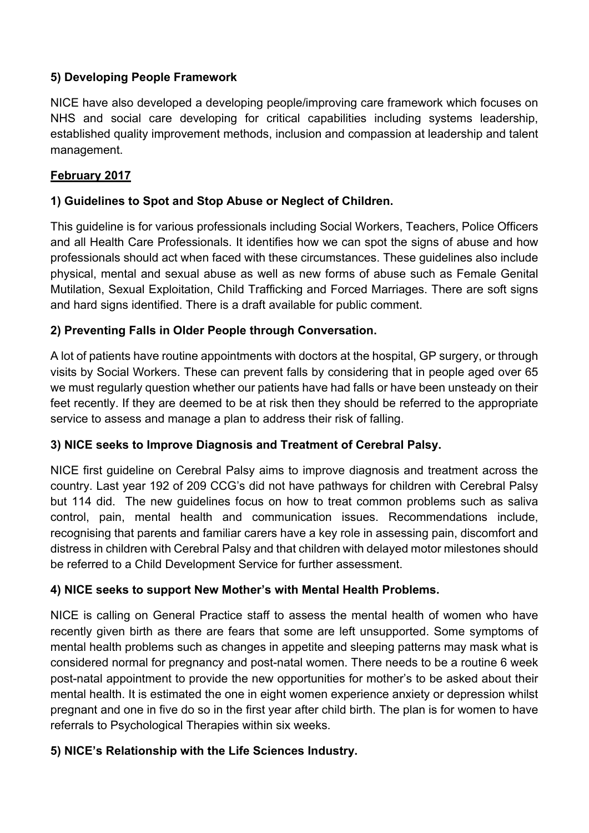## **5) Developing People Framework**

NICE have also developed a developing people/improving care framework which focuses on NHS and social care developing for critical capabilities including systems leadership, established quality improvement methods, inclusion and compassion at leadership and talent management.

## **February 2017**

## **1) Guidelines to Spot and Stop Abuse or Neglect of Children.**

This guideline is for various professionals including Social Workers, Teachers, Police Officers and all Health Care Professionals. It identifies how we can spot the signs of abuse and how professionals should act when faced with these circumstances. These guidelines also include physical, mental and sexual abuse as well as new forms of abuse such as Female Genital Mutilation, Sexual Exploitation, Child Trafficking and Forced Marriages. There are soft signs and hard signs identified. There is a draft available for public comment.

## **2) Preventing Falls in Older People through Conversation.**

A lot of patients have routine appointments with doctors at the hospital, GP surgery, or through visits by Social Workers. These can prevent falls by considering that in people aged over 65 we must regularly question whether our patients have had falls or have been unsteady on their feet recently. If they are deemed to be at risk then they should be referred to the appropriate service to assess and manage a plan to address their risk of falling.

## **3) NICE seeks to Improve Diagnosis and Treatment of Cerebral Palsy.**

NICE first guideline on Cerebral Palsy aims to improve diagnosis and treatment across the country. Last year 192 of 209 CCG's did not have pathways for children with Cerebral Palsy but 114 did. The new guidelines focus on how to treat common problems such as saliva control, pain, mental health and communication issues. Recommendations include, recognising that parents and familiar carers have a key role in assessing pain, discomfort and distress in children with Cerebral Palsy and that children with delayed motor milestones should be referred to a Child Development Service for further assessment.

## **4) NICE seeks to support New Mother's with Mental Health Problems.**

NICE is calling on General Practice staff to assess the mental health of women who have recently given birth as there are fears that some are left unsupported. Some symptoms of mental health problems such as changes in appetite and sleeping patterns may mask what is considered normal for pregnancy and post-natal women. There needs to be a routine 6 week post-natal appointment to provide the new opportunities for mother's to be asked about their mental health. It is estimated the one in eight women experience anxiety or depression whilst pregnant and one in five do so in the first year after child birth. The plan is for women to have referrals to Psychological Therapies within six weeks.

## **5) NICE's Relationship with the Life Sciences Industry.**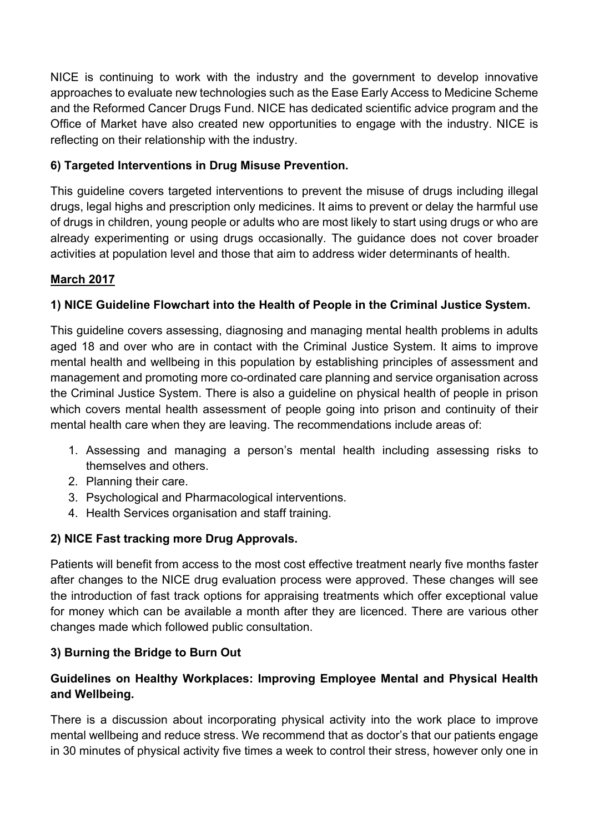NICE is continuing to work with the industry and the government to develop innovative approaches to evaluate new technologies such as the Ease Early Access to Medicine Scheme and the Reformed Cancer Drugs Fund. NICE has dedicated scientific advice program and the Office of Market have also created new opportunities to engage with the industry. NICE is reflecting on their relationship with the industry.

# **6) Targeted Interventions in Drug Misuse Prevention.**

This guideline covers targeted interventions to prevent the misuse of drugs including illegal drugs, legal highs and prescription only medicines. It aims to prevent or delay the harmful use of drugs in children, young people or adults who are most likely to start using drugs or who are already experimenting or using drugs occasionally. The guidance does not cover broader activities at population level and those that aim to address wider determinants of health.

# **March 2017**

# **1) NICE Guideline Flowchart into the Health of People in the Criminal Justice System.**

This guideline covers assessing, diagnosing and managing mental health problems in adults aged 18 and over who are in contact with the Criminal Justice System. It aims to improve mental health and wellbeing in this population by establishing principles of assessment and management and promoting more co-ordinated care planning and service organisation across the Criminal Justice System. There is also a guideline on physical health of people in prison which covers mental health assessment of people going into prison and continuity of their mental health care when they are leaving. The recommendations include areas of:

- 1. Assessing and managing a person's mental health including assessing risks to themselves and others.
- 2. Planning their care.
- 3. Psychological and Pharmacological interventions.
- 4. Health Services organisation and staff training.

# **2) NICE Fast tracking more Drug Approvals.**

Patients will benefit from access to the most cost effective treatment nearly five months faster after changes to the NICE drug evaluation process were approved. These changes will see the introduction of fast track options for appraising treatments which offer exceptional value for money which can be available a month after they are licenced. There are various other changes made which followed public consultation.

# **3) Burning the Bridge to Burn Out**

# **Guidelines on Healthy Workplaces: Improving Employee Mental and Physical Health and Wellbeing.**

There is a discussion about incorporating physical activity into the work place to improve mental wellbeing and reduce stress. We recommend that as doctor's that our patients engage in 30 minutes of physical activity five times a week to control their stress, however only one in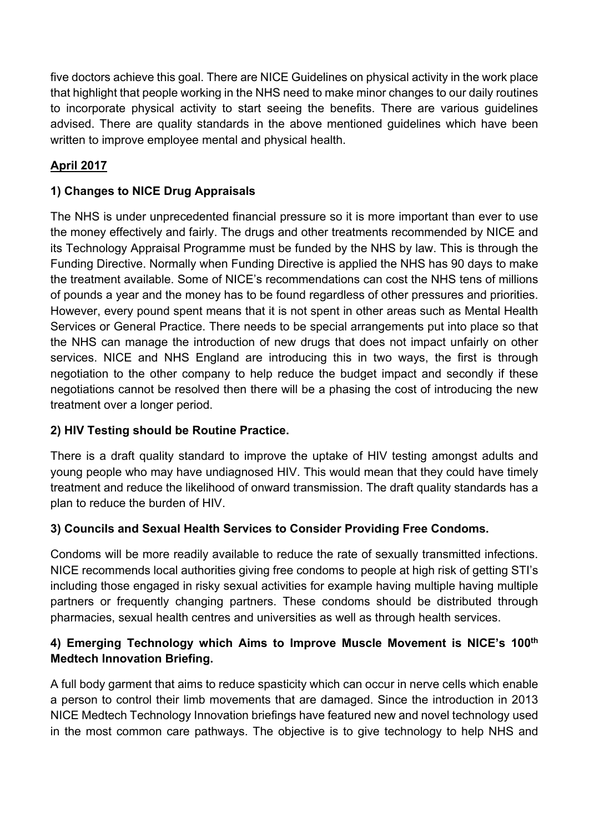five doctors achieve this goal. There are NICE Guidelines on physical activity in the work place that highlight that people working in the NHS need to make minor changes to our daily routines to incorporate physical activity to start seeing the benefits. There are various guidelines advised. There are quality standards in the above mentioned guidelines which have been written to improve employee mental and physical health.

# **April 2017**

# **1) Changes to NICE Drug Appraisals**

The NHS is under unprecedented financial pressure so it is more important than ever to use the money effectively and fairly. The drugs and other treatments recommended by NICE and its Technology Appraisal Programme must be funded by the NHS by law. This is through the Funding Directive. Normally when Funding Directive is applied the NHS has 90 days to make the treatment available. Some of NICE's recommendations can cost the NHS tens of millions of pounds a year and the money has to be found regardless of other pressures and priorities. However, every pound spent means that it is not spent in other areas such as Mental Health Services or General Practice. There needs to be special arrangements put into place so that the NHS can manage the introduction of new drugs that does not impact unfairly on other services. NICE and NHS England are introducing this in two ways, the first is through negotiation to the other company to help reduce the budget impact and secondly if these negotiations cannot be resolved then there will be a phasing the cost of introducing the new treatment over a longer period.

# **2) HIV Testing should be Routine Practice.**

There is a draft quality standard to improve the uptake of HIV testing amongst adults and young people who may have undiagnosed HIV. This would mean that they could have timely treatment and reduce the likelihood of onward transmission. The draft quality standards has a plan to reduce the burden of HIV.

# **3) Councils and Sexual Health Services to Consider Providing Free Condoms.**

Condoms will be more readily available to reduce the rate of sexually transmitted infections. NICE recommends local authorities giving free condoms to people at high risk of getting STI's including those engaged in risky sexual activities for example having multiple having multiple partners or frequently changing partners. These condoms should be distributed through pharmacies, sexual health centres and universities as well as through health services.

## **4) Emerging Technology which Aims to Improve Muscle Movement is NICE's 100th Medtech Innovation Briefing.**

A full body garment that aims to reduce spasticity which can occur in nerve cells which enable a person to control their limb movements that are damaged. Since the introduction in 2013 NICE Medtech Technology Innovation briefings have featured new and novel technology used in the most common care pathways. The objective is to give technology to help NHS and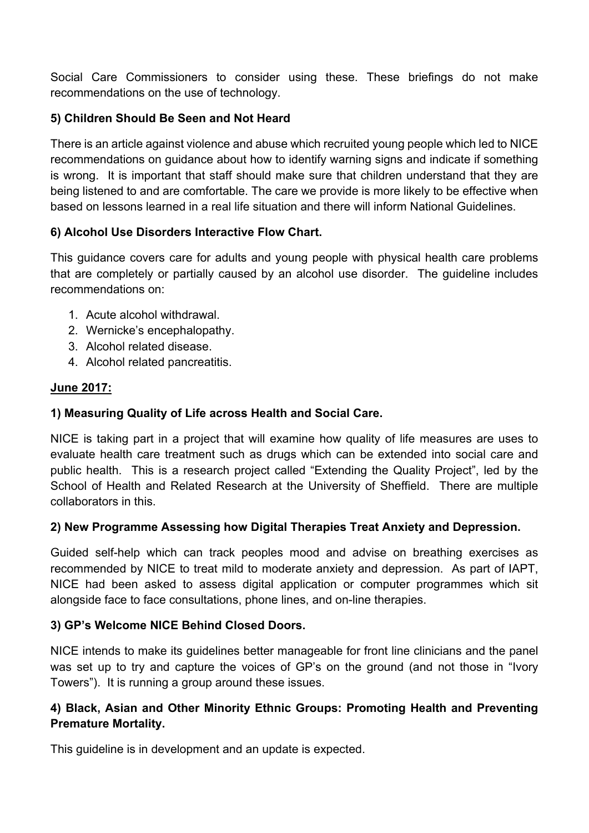Social Care Commissioners to consider using these. These briefings do not make recommendations on the use of technology.

## **5) Children Should Be Seen and Not Heard**

There is an article against violence and abuse which recruited young people which led to NICE recommendations on guidance about how to identify warning signs and indicate if something is wrong. It is important that staff should make sure that children understand that they are being listened to and are comfortable. The care we provide is more likely to be effective when based on lessons learned in a real life situation and there will inform National Guidelines.

## **6) Alcohol Use Disorders Interactive Flow Chart.**

This guidance covers care for adults and young people with physical health care problems that are completely or partially caused by an alcohol use disorder. The guideline includes recommendations on:

- 1. Acute alcohol withdrawal.
- 2. Wernicke's encephalopathy.
- 3. Alcohol related disease.
- 4. Alcohol related pancreatitis.

## **June 2017:**

## **1) Measuring Quality of Life across Health and Social Care.**

NICE is taking part in a project that will examine how quality of life measures are uses to evaluate health care treatment such as drugs which can be extended into social care and public health. This is a research project called "Extending the Quality Project", led by the School of Health and Related Research at the University of Sheffield. There are multiple collaborators in this.

## **2) New Programme Assessing how Digital Therapies Treat Anxiety and Depression.**

Guided self-help which can track peoples mood and advise on breathing exercises as recommended by NICE to treat mild to moderate anxiety and depression. As part of IAPT, NICE had been asked to assess digital application or computer programmes which sit alongside face to face consultations, phone lines, and on-line therapies.

## **3) GP's Welcome NICE Behind Closed Doors.**

NICE intends to make its guidelines better manageable for front line clinicians and the panel was set up to try and capture the voices of GP's on the ground (and not those in "Ivory Towers"). It is running a group around these issues.

## **4) Black, Asian and Other Minority Ethnic Groups: Promoting Health and Preventing Premature Mortality.**

This guideline is in development and an update is expected.